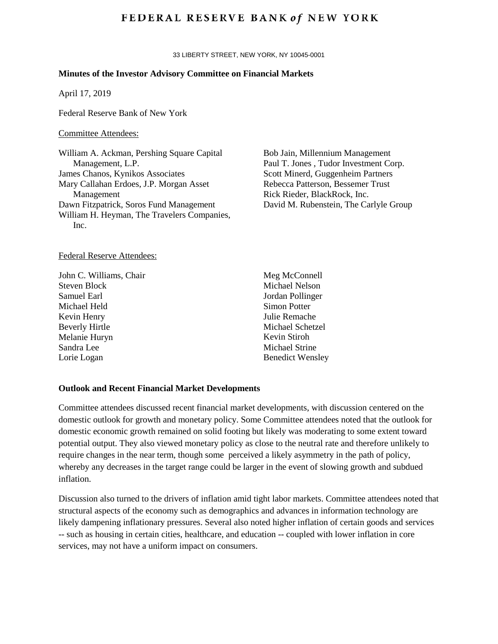# **FEDERAL RESERVE BANK of NEW YORK**

33 LIBERTY STREET, NEW YORK, NY 10045-0001

## **Minutes of the Investor Advisory Committee on Financial Markets**

April 17, 2019

Federal Reserve Bank of New York

## Committee Attendees:

William A. Ackman, Pershing Square Capital Management, L.P. James Chanos, Kynikos Associates Mary Callahan Erdoes, J.P. Morgan Asset Management Dawn Fitzpatrick, Soros Fund Management William H. Heyman, The Travelers Companies, Inc.

## Federal Reserve Attendees:

John C. Williams, Chair Steven Block Samuel Earl Michael Held Kevin Henry Beverly Hirtle Melanie Huryn Sandra Lee Lorie Logan

Bob Jain, Millennium Management Paul T. Jones , Tudor Investment Corp. Scott Minerd, Guggenheim Partners Rebecca Patterson, Bessemer Trust Rick Rieder, BlackRock, Inc. David M. Rubenstein, The Carlyle Group

Meg McConnell Michael Nelson Jordan Pollinger Simon Potter Julie Remache Michael Schetzel Kevin Stiroh Michael Strine Benedict Wensley

#### **Outlook and Recent Financial Market Developments**

Committee attendees discussed recent financial market developments, with discussion centered on the domestic outlook for growth and monetary policy. Some Committee attendees noted that the outlook for domestic economic growth remained on solid footing but likely was moderating to some extent toward potential output. They also viewed monetary policy as close to the neutral rate and therefore unlikely to require changes in the near term, though some perceived a likely asymmetry in the path of policy, whereby any decreases in the target range could be larger in the event of slowing growth and subdued inflation.

Discussion also turned to the drivers of inflation amid tight labor markets. Committee attendees noted that structural aspects of the economy such as demographics and advances in information technology are likely dampening inflationary pressures. Several also noted higher inflation of certain goods and services -- such as housing in certain cities, healthcare, and education -- coupled with lower inflation in core services, may not have a uniform impact on consumers.